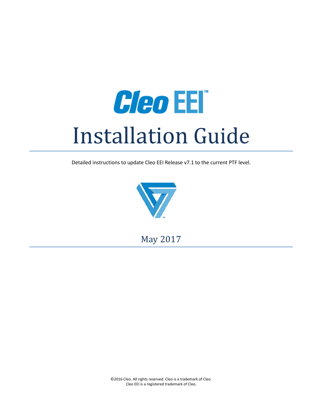

Detailed instructions to update Cleo EEI Release v7.1 to the current PTF level.



May 2017

©2016 Cleo. All rights reserved. Cleo is a trademark of Cleo. Cleo EEI is a registered trademark of Cleo.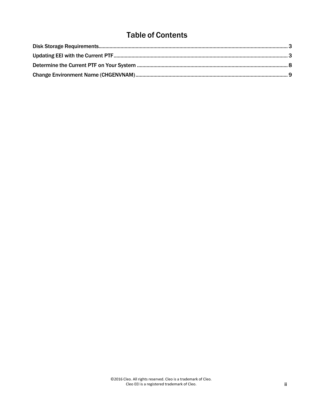# Table of Contents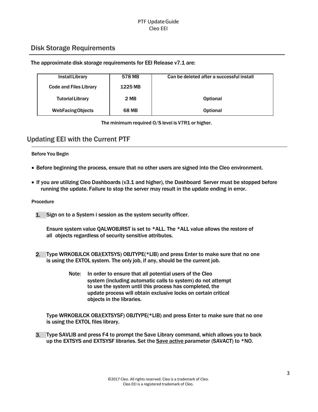## <span id="page-2-0"></span>Disk Storage Requirements

#### The approximate disk storage requirements for EEI Release v7.1 are:

| Install Library               | 578 MB       | Can be deleted after a successful install |  |
|-------------------------------|--------------|-------------------------------------------|--|
| <b>Code and Files Library</b> | 1225 MB      |                                           |  |
| <b>Tutorial Library</b>       | 2 MB         | <b>Optional</b>                           |  |
| <b>WebFacing Objects</b>      | <b>68 MB</b> | <b>Optional</b>                           |  |

The minimum required O/S level is V7R1 or higher.

## <span id="page-2-1"></span>Updating EEI with the Current PTF

#### Before You Begin

- Before beginning the process, ensure that no other users are signed into the Cleo environment.
- If you are utilizing Cleo Dashboards (v3.1 and higher), the Dashboard Server must be stopped before running the update. Failure to stop the server may result in the update ending in error.

#### Procedure

1. Sign on to a System i session as the system security officer.

Ensure system value QALWOBJRST is set to \*ALL. The \*ALL value allows the restore of all objects regardless of security sensitive attributes.

- 2. Type WRKOBJLCK OBJ(EXTSYS) OBJTYPE(\*LIB) and press Enter to make sure that no one is using the EXTOL system. The only job, if any, should be the current job.
	- Note: In order to ensure that all potential users of the Cleo system (including automatic calls to system) do not attempt to use the system until this process has completed, the update process will obtain exclusive locks on certain critical objects in the libraries.

Type WRKOBJLCK OBJ(EXTSYSF) OBJTYPE(\*LIB) and press Enter to make sure that no one is using the EXTOL files library.

3. Type SAVLIB and press F4 to prompt the Save Library command, which allows you to back up the EXTSYS and EXTSYSF libraries. Set the Save active parameter (SAVACT) to \*NO.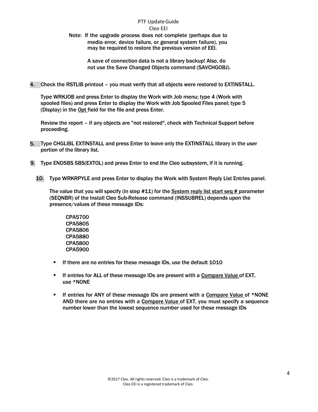Note: If the upgrade process does not complete (perhaps due to media error, device failure, or general system failure), you may be required to restore the previous version of EEI.

> A save of connection data is not a library backup! Also, do not use the Save Changed Objects command (SAVCHGOBJ).

4. Check the RSTLIB printout – you must verify that all objects were restored to EXTINSTALL.

Type WRKJOB and press Enter to display the Work with Job menu; type 4 (Work with spooled files) and press Enter to display the Work with Job Spooled Files panel; type 5 (Display) in the Opt field for the file and press Enter.

Review the report – if any objects are "not restored", check with Technical Support before proceeding.

- 5. Type CHGLIBL EXTINSTALL and press Enter to leave only the EXTINSTALL library in the user portion of the library list.
- 9. Type ENDSBS SBS(EXTOL) and press Enter to end the Cleo subsystem, if it is running.
	- 10. Type WRKRPYLE and press Enter to display the Work with System Reply List Entries panel.

The value that you will specify (in step  $#11$ ) for the System reply list start seq  $#$  parameter (SEQNBR) of the Install Cleo Sub-Release command (INSSUBREL) depends upon the presence/values of these message IDs:

CPA5700 CPA5805 CPA5806 CPA5880 CPA5800 CPA5900

- If there are no entries for these message IDs, use the default 1010
- If entries for ALL of these message IDs are present with a Compare Value of EXT, use \*NONE
- If entries for ANY of these message IDs are present with a Compare Value of \*NONE AND there are no entries with a Compare Value of EXT, you must specify a sequence number lower than the lowest sequence number used for these message IDs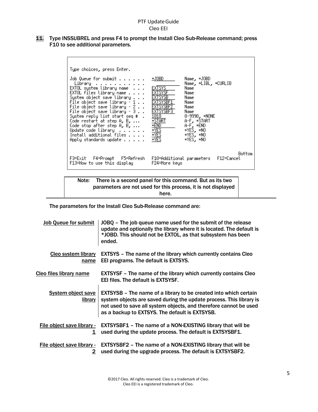11. Type INSSUBREL and press F4 to prompt the Install Cleo Sub-Release command; press F10 to see additional parameters.





The parameters for the Install Cleo Sub-Release command are:

| <b>Job Queue for submit</b>          | JOBQ - The job queue name used for the submit of the release<br>update and optionally the library where it is located. The default is<br>*JOBD. This should not be EXTOL, as that subsystem has been<br>ended.                                                        |
|--------------------------------------|-----------------------------------------------------------------------------------------------------------------------------------------------------------------------------------------------------------------------------------------------------------------------|
| <b>Cleo system library</b><br>name   | <b>EXTSYS</b> – The name of the library which currently contains Cleo<br>EEI programs. The default is EXTSYS.                                                                                                                                                         |
| Cleo files library name              | <b>EXTSYSF</b> - The name of the library which currently contains Cleo<br><b>EEI files. The default is EXTSYSF.</b>                                                                                                                                                   |
| <b>System object save</b><br>library | <b>EXTSYSB</b> – The name of a library to be created into which certain<br>system objects are saved during the update process. This library is<br>not used to save all system objects, and therefore cannot be used<br>as a backup to EXTSYS. The default is EXTSYSB. |
| 1                                    | File object save library $\text{-}$ EXTSYSBF1 – The name of a NON-EXISTING library that will be<br>used during the update process. The default is EXTSYSBF1.                                                                                                          |
| $\mathbf{2}$                         | File object save library $\text{-}$ EXTSYSBF2 – The name of a NON-EXISTING library that will be<br>used during the upgrade process. The default is EXTSYSBF2.                                                                                                         |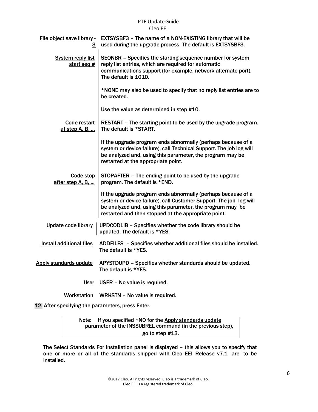| File object save library -<br><u>3</u>    | <b>EXTSYSBF3</b> - The name of a NON-EXISTING library that will be<br>used during the upgrade process. The default is EXTSYSBF3.                                                                                                                        |
|-------------------------------------------|---------------------------------------------------------------------------------------------------------------------------------------------------------------------------------------------------------------------------------------------------------|
| <b>System reply list</b><br>start seq $#$ | SEQNBR - Specifies the starting sequence number for system<br>reply list entries, which are required for automatic<br>communications support (for example, network alternate port).<br>The default is 1010.                                             |
|                                           | *NONE may also be used to specify that no reply list entries are to<br>be created.                                                                                                                                                                      |
|                                           | Use the value as determined in step #10.                                                                                                                                                                                                                |
| Code restart<br>at step A, B,             | RESTART - The starting point to be used by the upgrade program.<br>The default is *START.                                                                                                                                                               |
|                                           | If the upgrade program ends abnormally (perhaps because of a<br>system or device failure), call Technical Support. The job log will<br>be analyzed and, using this parameter, the program may be<br>restarted at the appropriate point.                 |
| Code stop<br>after step A, B,             | STOPAFTER - The ending point to be used by the upgrade<br>program. The default is *END.                                                                                                                                                                 |
|                                           | If the upgrade program ends abnormally (perhaps because of a<br>system or device failure), call Customer Support. The job log will<br>be analyzed and, using this parameter, the program may be<br>restarted and then stopped at the appropriate point. |
| Update code library                       | UPDCODLIB - Specifies whether the code library should be<br>updated. The default is *YES.                                                                                                                                                               |
| Install additional files                  | ADDFILES - Specifies whether additional files should be installed.<br>The default is *YES.                                                                                                                                                              |
| <b>Apply standards update</b>             | APYSTDUPD - Specifies whether standards should be updated.<br>The default is *YES.                                                                                                                                                                      |
|                                           | User USER - No value is required.                                                                                                                                                                                                                       |

Workstation WRKSTN – No value is required.

12. After specifying the parameters, press Enter.

Note: If you specified \*NO for the Apply standards update parameter of the INSSUBREL command (in the previous step), go to step #13.

The Select Standards For Installation panel is displayed – this allows you to specify that one or more or all of the standards shipped with Cleo EEI Release v7.1 are to be installed.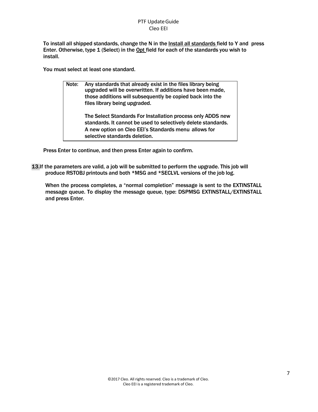To install all shipped standards, change the N in the Install all standards field to Y and press Enter. Otherwise, type 1 (Select) in the Opt field for each of the standards you wish to install.

You must select at least one standard.

| Note: | Any standards that already exist in the files library being<br>upgraded will be overwritten. If additions have been made,<br>those additions will subsequently be copied back into the<br>files library being upgraded. |
|-------|-------------------------------------------------------------------------------------------------------------------------------------------------------------------------------------------------------------------------|
|       | The Select Standards For Installation process only ADDS new<br>standards. It cannot be used to selectively delete standards.<br>A new option on Cleo EEI's Standards menu allows for<br>selective standards deletion.   |

Press Enter to continue, and then press Enter again to confirm.

13.If the parameters are valid, a job will be submitted to perform the upgrade. This job will produce RSTOBJ printouts and both \*MSG and \*SECLVL versions of the job log.

When the process completes, a "normal completion" message is sent to the EXTINSTALL message queue. To display the message queue, type: DSPMSG EXTINSTALL/EXTINSTALL and press Enter.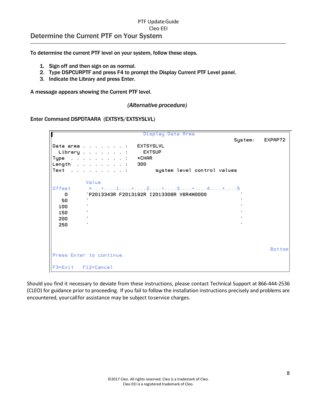### <span id="page-7-0"></span>PTF Update Guide Cleo EEI Determine the Current PTF on Your System

To determine the current PTF level on your system, follow these steps.

- 1. Sign off and then sign on as normal.
- 2. Type DSPCURPTF and press F4 to prompt the Display Current PTF Level panel.
- 3. Indicate the Library and press Enter.

A message appears showing the Current PTF level.

#### *(Alternative procedure)*

Enter Command DSPDTAARA (EXTSYS/EXTSYSLVL)

|                                               | Display Data Area                                                                                                                                                                                                                                                                                                                              |         |               |
|-----------------------------------------------|------------------------------------------------------------------------------------------------------------------------------------------------------------------------------------------------------------------------------------------------------------------------------------------------------------------------------------------------|---------|---------------|
|                                               | EXTSYSLVL<br>Data area :<br><b>EXTSUP</b><br>Library :<br>*CHAR<br>Type :<br>Length $1.11$ . $1.11$ . $1.11$<br>300<br>Text :<br>system level control values                                                                                                                                                                                   | System: | EXPAP72       |
| Offset<br>0<br>50<br>100<br>150<br>200<br>250 | Value<br>$x_1, x_2, x_3, x_4, x_5, x_6, x_7, x_8, x_9, x_1, x_2, x_3, x_4, x_5, x_7, x_7, x_8, x_9, x_1, x_2, x_3, x_4, x_5, x_6, x_7, x_8, x_9, x_1, x_2, x_3, x_4, x_6, x_7, x_8, x_9, x_1, x_2, x_3, x_4, x_6, x_7, x_8, x_9, x_1, x_2, x_3, x_4, x_6, x_7, x_8, x_9, x_1, x_2, x_3, x_4,$<br>'P2013343R F2013192R I2013308R V6R4M0000<br>٠ |         |               |
|                                               | Press Enter to continue.                                                                                                                                                                                                                                                                                                                       |         | <b>Bottom</b> |
| F3=Exit F12=Cancel                            |                                                                                                                                                                                                                                                                                                                                                |         |               |

Should you find it necessary to deviate from these instructions, please contact Technical Support at 866-444-2536 (CLEO) for guidance prior to proceeding. If you fail to follow the installation instructions precisely and problems are encountered, yourcallfor assistance may be subject toservice charges.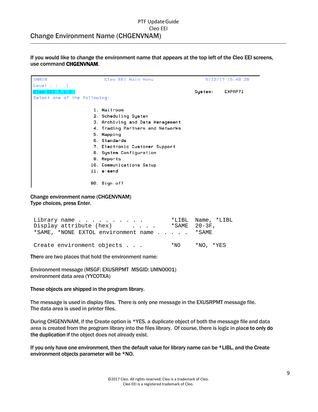### <span id="page-8-0"></span>PTF Update Guide Cleo EEI Change Environment Name (CHGENVNAM)

If you would like to change the environment name that appears at the top left of the Cleo EEI screens, use command CHGENVNAM.

| <b>XMAIN</b>                        | Cleo EEI Main Menu               |         | 5/12/17 15:49:29 |
|-------------------------------------|----------------------------------|---------|------------------|
| Level $\cdots$ 1                    |                                  |         |                  |
| Cleo EEI 7.1.0                      |                                  | System. | EXPAP71          |
| Select one of the following:        |                                  |         |                  |
|                                     |                                  |         |                  |
|                                     | 1. Mailroom                      |         |                  |
|                                     | 2. Scheduling System             |         |                  |
|                                     | 3. Archiving and Data Management |         |                  |
|                                     | 4. Trading Partners and Networks |         |                  |
|                                     | 5 Mapping                        |         |                  |
|                                     | 6. Standards                     |         |                  |
|                                     | 7. Electronic Customer Support   |         |                  |
|                                     | 8. System Configuration          |         |                  |
|                                     | 9. Reports                       |         |                  |
|                                     | 10. Communications Setup         |         |                  |
|                                     | 11. e-send                       |         |                  |
|                                     | 90. Sign off                     |         |                  |
| Change environment name (CHGENVNAM) |                                  |         |                  |

Type choices, press Enter.

| Library name<br>Display attribute (hex) *SAME 20-3F,<br>*SAME, *NONE EXTOL environment name *SAME | *LIBL Name, *LIBL |
|---------------------------------------------------------------------------------------------------|-------------------|
| Create environment objects                                                                        | *NO *NO. *YES     |

There are two places that hold the environment name:

Environment message (MSGF: EXUSRPMT MSGID: UMN0001) environment data area (YYCOTXA)

These objects are shipped in the program library.

The message is used in display files. There is only one message in the EXUSRPMT message file. The data area is used in printer files.

During CHGENVNAM, if the Create option is \*YES, a duplicate object of both the message file and data area is created from the program library into the files library. Of course, there is logic in place to only do the duplication if the object does not already exist.

If you only have one environment, then the default value for library name can be \*LIBL, and the Create environment objects parameter will be \*NO.